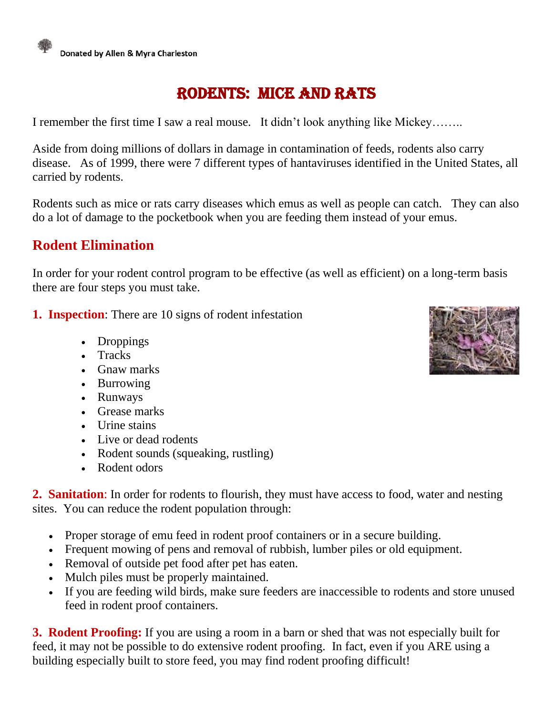

## Rodents: Mice and Rats

I remember the first time I saw a real mouse. It didn't look anything like Mickey……..

Aside from doing millions of dollars in damage in contamination of feeds, rodents also carry disease. As of 1999, there were 7 different types of hantaviruses identified in the United States, all carried by rodents.

Rodents such as mice or rats carry diseases which emus as well as people can catch. They can also do a lot of damage to the pocketbook when you are feeding them instead of your emus.

## **Rodent Elimination**

In order for your rodent control program to be effective (as well as efficient) on a long-term basis there are four steps you must take.

- **1. Inspection**: There are 10 signs of rodent infestation
	- Droppings
	- Tracks
	- Gnaw marks
	- Burrowing
	- Runways
	- Grease marks
	- Urine stains
	- Live or dead rodents
	- Rodent sounds (squeaking, rustling)
	- Rodent odors

**2. Sanitation**: In order for rodents to flourish, they must have access to food, water and nesting sites. You can reduce the rodent population through:

- Proper storage of emu feed in rodent proof containers or in a secure building.
- Frequent mowing of pens and removal of rubbish, lumber piles or old equipment.
- Removal of outside pet food after pet has eaten.
- Mulch piles must be properly maintained.
- If you are feeding wild birds, make sure feeders are inaccessible to rodents and store unused feed in rodent proof containers.

**3. Rodent Proofing:** If you are using a room in a barn or shed that was not especially built for feed, it may not be possible to do extensive rodent proofing. In fact, even if you ARE using a building especially built to store feed, you may find rodent proofing difficult!